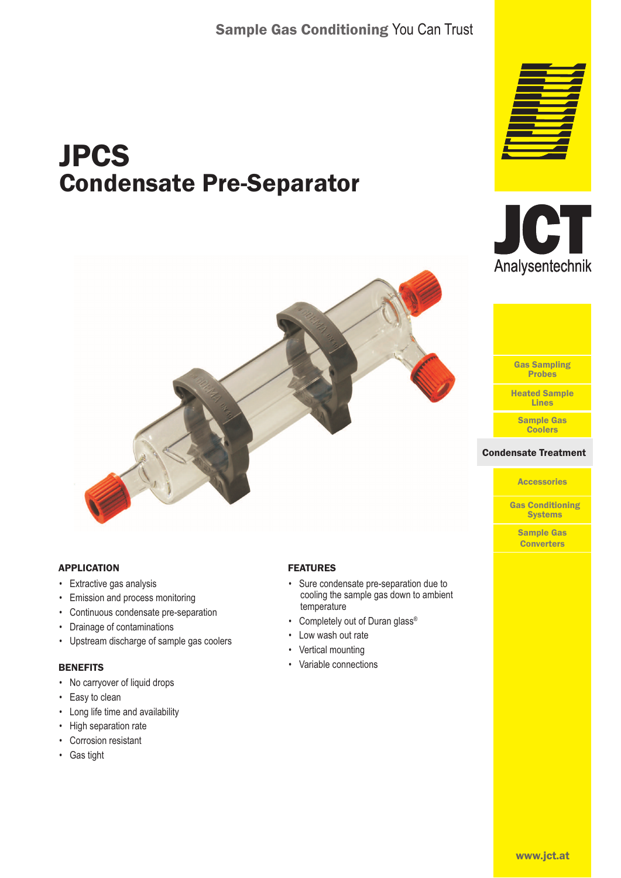# JPCS Condensate Pre-Separator







#### sate Treatr **Condensate Treatment**

**Accessories** 

Gas Conditioning **Systems** 

Sample Gas **Converters** 



#### APPLICATION

- Extractive gas analysis
- Emission and process monitoring
- Continuous condensate pre-separation
- Drainage of contaminations
- Upstream discharge of sample gas coolers

#### **BENEFITS**

- No carryover of liquid drops
- Easy to clean
- Long life time and availability
- High separation rate
- Corrosion resistant
- Gas tight

#### FEATURES

- Sure condensate pre-separation due to cooling the sample gas down to ambient temperature
- Completely out of Duran glass®
- Low wash out rate
- Vertical mounting
- Variable connections